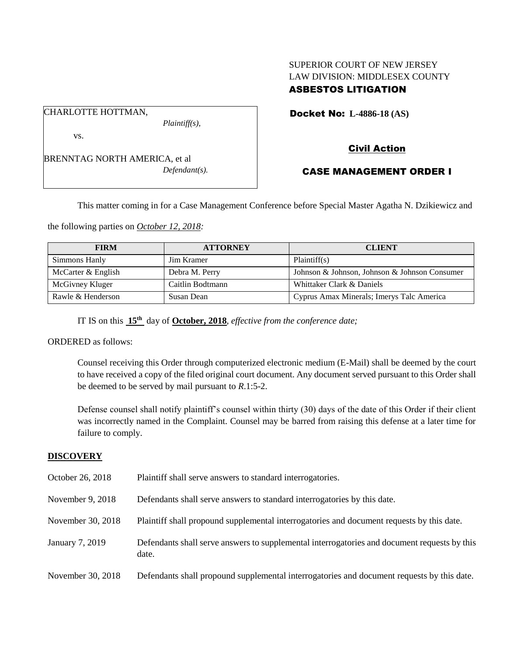# SUPERIOR COURT OF NEW JERSEY LAW DIVISION: MIDDLESEX COUNTY ASBESTOS LITIGATION

Docket No: **L-4886-18 (AS)** 

vs.

CHARLOTTE HOTTMAN,

BRENNTAG NORTH AMERICA, et al *Defendant(s).*

*Plaintiff(s),*

Civil Action

# CASE MANAGEMENT ORDER I

This matter coming in for a Case Management Conference before Special Master Agatha N. Dzikiewicz and

the following parties on *October 12, 2018:*

| <b>FIRM</b>        | <b>ATTORNEY</b>  | <b>CLIENT</b>                                 |
|--------------------|------------------|-----------------------------------------------|
| Simmons Hanly      | Jim Kramer       | Plaintiff(s)                                  |
| McCarter & English | Debra M. Perry   | Johnson & Johnson, Johnson & Johnson Consumer |
| McGivney Kluger    | Caitlin Bodtmann | Whittaker Clark & Daniels                     |
| Rawle & Henderson  | Susan Dean       | Cyprus Amax Minerals; Imerys Talc America     |

IT IS on this **15th** day of **October, 2018**, *effective from the conference date;*

ORDERED as follows:

Counsel receiving this Order through computerized electronic medium (E-Mail) shall be deemed by the court to have received a copy of the filed original court document. Any document served pursuant to this Order shall be deemed to be served by mail pursuant to *R*.1:5-2.

Defense counsel shall notify plaintiff's counsel within thirty (30) days of the date of this Order if their client was incorrectly named in the Complaint. Counsel may be barred from raising this defense at a later time for failure to comply.

## **DISCOVERY**

| October 26, 2018  | Plaintiff shall serve answers to standard interrogatories.                                            |
|-------------------|-------------------------------------------------------------------------------------------------------|
| November 9, 2018  | Defendants shall serve answers to standard interrogatories by this date.                              |
| November 30, 2018 | Plaintiff shall propound supplemental interrogatories and document requests by this date.             |
| January 7, 2019   | Defendants shall serve answers to supplemental interrogatories and document requests by this<br>date. |
| November 30, 2018 | Defendants shall propound supplemental interrogatories and document requests by this date.            |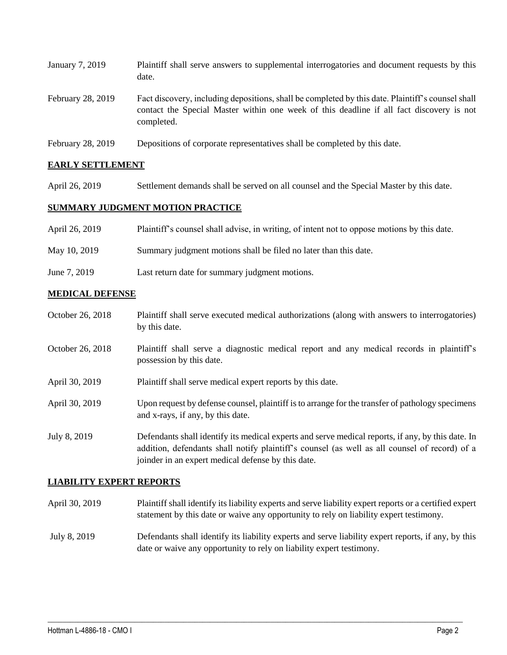| January 7, 2019   | Plaintiff shall serve answers to supplemental interrogatories and document requests by this<br>date.                                                                                                        |
|-------------------|-------------------------------------------------------------------------------------------------------------------------------------------------------------------------------------------------------------|
| February 28, 2019 | Fact discovery, including depositions, shall be completed by this date. Plaintiff's counsel shall<br>contact the Special Master within one week of this deadline if all fact discovery is not<br>completed. |
| February 28, 2019 | Depositions of corporate representatives shall be completed by this date.                                                                                                                                   |

## **EARLY SETTLEMENT**

April 26, 2019 Settlement demands shall be served on all counsel and the Special Master by this date.

### **SUMMARY JUDGMENT MOTION PRACTICE**

| April 26, 2019 | Plaintiff's counsel shall advise, in writing, of intent not to oppose motions by this date. |
|----------------|---------------------------------------------------------------------------------------------|
| May 10, 2019   | Summary judgment motions shall be filed no later than this date.                            |
| June 7, 2019   | Last return date for summary judgment motions.                                              |

### **MEDICAL DEFENSE**

- October 26, 2018 Plaintiff shall serve executed medical authorizations (along with answers to interrogatories) by this date.
- October 26, 2018 Plaintiff shall serve a diagnostic medical report and any medical records in plaintiff's possession by this date.
- April 30, 2019 Plaintiff shall serve medical expert reports by this date.
- April 30, 2019 Upon request by defense counsel, plaintiff is to arrange for the transfer of pathology specimens and x-rays, if any, by this date.
- July 8, 2019 Defendants shall identify its medical experts and serve medical reports, if any, by this date. In addition, defendants shall notify plaintiff's counsel (as well as all counsel of record) of a joinder in an expert medical defense by this date.

### **LIABILITY EXPERT REPORTS**

- April 30, 2019 Plaintiff shall identify its liability experts and serve liability expert reports or a certified expert statement by this date or waive any opportunity to rely on liability expert testimony.
- July 8, 2019 Defendants shall identify its liability experts and serve liability expert reports, if any, by this date or waive any opportunity to rely on liability expert testimony.

 $\_$  ,  $\_$  ,  $\_$  ,  $\_$  ,  $\_$  ,  $\_$  ,  $\_$  ,  $\_$  ,  $\_$  ,  $\_$  ,  $\_$  ,  $\_$  ,  $\_$  ,  $\_$  ,  $\_$  ,  $\_$  ,  $\_$  ,  $\_$  ,  $\_$  ,  $\_$  ,  $\_$  ,  $\_$  ,  $\_$  ,  $\_$  ,  $\_$  ,  $\_$  ,  $\_$  ,  $\_$  ,  $\_$  ,  $\_$  ,  $\_$  ,  $\_$  ,  $\_$  ,  $\_$  ,  $\_$  ,  $\_$  ,  $\_$  ,